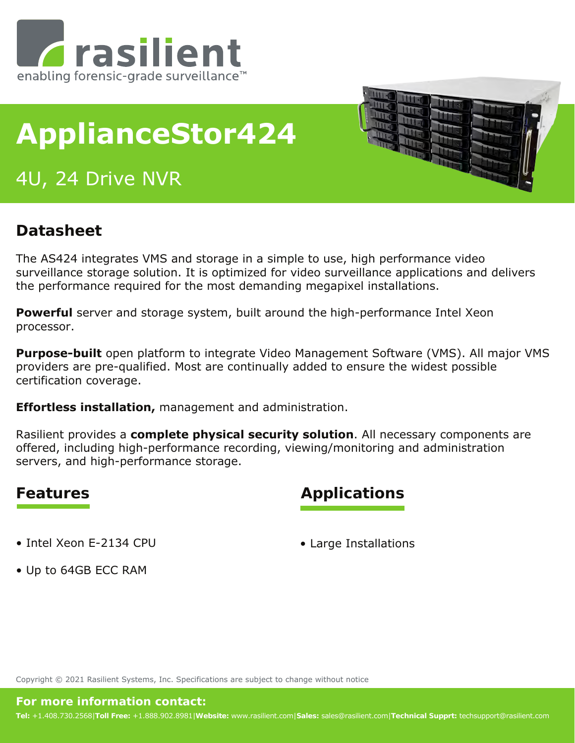

# **ApplianceStor424**

## 4U, 24 Drive NVR



### **Datasheet**

The AS424 integrates VMS and storage in a simple to use, high performance video surveillance storage solution. It is optimized for video surveillance applications and delivers the performance required for the most demanding megapixel installations.

**Powerful** server and storage system, built around the high-performance Intel Xeon processor.

**Purpose-built** open platform to integrate Video Management Software (VMS). All major VMS providers are pre-qualified. Most are continually added to ensure the widest possible certification coverage.

**Effortless installation,** management and administration.

Rasilient provides a **complete physical security solution**. All necessary components are offered, including high-performance recording, viewing/monitoring and administration servers, and high-performance storage.

### **Features Applications**

• Intel Xeon E-2134 CPU

• Large Installations

• Up to 64GB ECC RAM

Copyright © 2021 Rasilient Systems, Inc. Specifications are subject to change without notice

#### **For more information contact:**

**Tel:** +1.408.730.2568|**Toll Free:** +1.888.902.8981|**Website:** www.rasilient.com|**Sales:** sales@rasilient.com|**Technical Supprt:** techsupport@rasilient.com